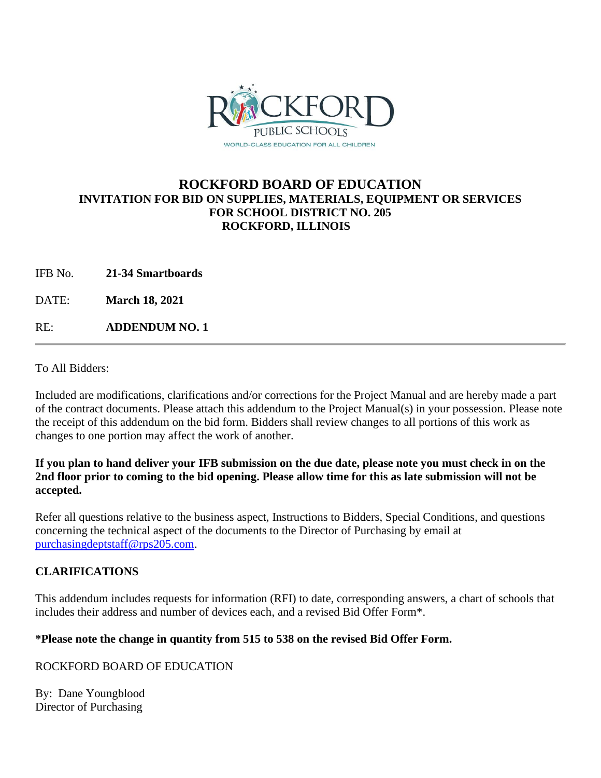

# **ROCKFORD BOARD OF EDUCATION INVITATION FOR BID ON SUPPLIES, MATERIALS, EQUIPMENT OR SERVICES FOR SCHOOL DISTRICT NO. 205 ROCKFORD, ILLINOIS**

IFB No. **21-34 Smartboards**

DATE: **March 18, 2021**

RE: **ADDENDUM NO. 1**

To All Bidders:

Included are modifications, clarifications and/or corrections for the Project Manual and are hereby made a part of the contract documents. Please attach this addendum to the Project Manual(s) in your possession. Please note the receipt of this addendum on the bid form. Bidders shall review changes to all portions of this work as changes to one portion may affect the work of another.

## **If you plan to hand deliver your IFB submission on the due date, please note you must check in on the 2nd floor prior to coming to the bid opening. Please allow time for this as late submission will not be accepted.**

Refer all questions relative to the business aspect, Instructions to Bidders, Special Conditions, and questions concerning the technical aspect of the documents to the Director of Purchasing by email at [purchasingdeptstaff@rps205.com.](mailto:purchasingdeptstaff@rps205.com)

## **CLARIFICATIONS**

This addendum includes requests for information (RFI) to date, corresponding answers, a chart of schools that includes their address and number of devices each, and a revised Bid Offer Form\*.

## **\*Please note the change in quantity from 515 to 538 on the revised Bid Offer Form.**

ROCKFORD BOARD OF EDUCATION

By: Dane Youngblood Director of Purchasing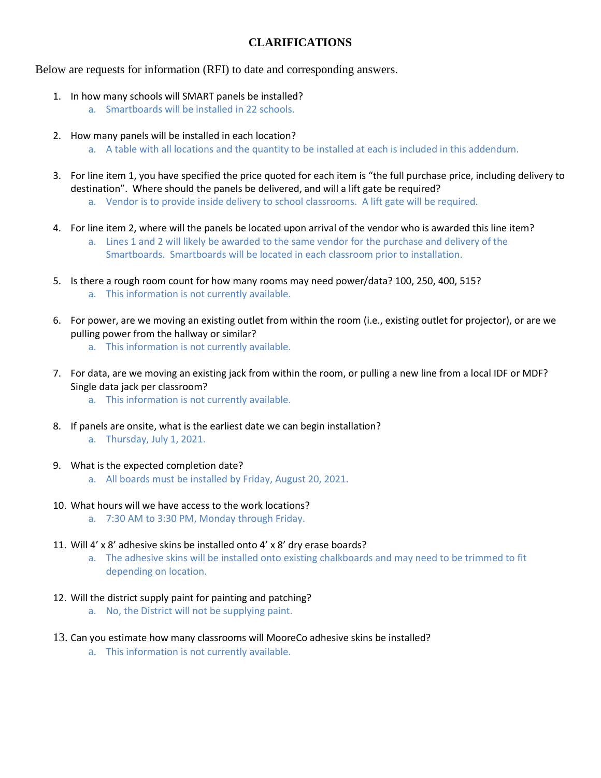## **CLARIFICATIONS**

Below are requests for information (RFI) to date and corresponding answers.

- 1. In how many schools will SMART panels be installed?
	- a. Smartboards will be installed in 22 schools.
- 2. How many panels will be installed in each location? a. A table with all locations and the quantity to be installed at each is included in this addendum.
- 3. For line item 1, you have specified the price quoted for each item is "the full purchase price, including delivery to destination". Where should the panels be delivered, and will a lift gate be required?
	- a. Vendor is to provide inside delivery to school classrooms. A lift gate will be required.
- 4. For line item 2, where will the panels be located upon arrival of the vendor who is awarded this line item? a. Lines 1 and 2 will likely be awarded to the same vendor for the purchase and delivery of the Smartboards. Smartboards will be located in each classroom prior to installation.
- 5. Is there a rough room count for how many rooms may need power/data? 100, 250, 400, 515? a. This information is not currently available.
- 6. For power, are we moving an existing outlet from within the room (i.e., existing outlet for projector), or are we pulling power from the hallway or similar?
	- a. This information is not currently available.
- 7. For data, are we moving an existing jack from within the room, or pulling a new line from a local IDF or MDF? Single data jack per classroom?
	- a. This information is not currently available.
- 8. If panels are onsite, what is the earliest date we can begin installation? a. Thursday, July 1, 2021.
- 9. What is the expected completion date?
	- a. All boards must be installed by Friday, August 20, 2021.
- 10. What hours will we have access to the work locations?
	- a. 7:30 AM to 3:30 PM, Monday through Friday.
- 11. Will 4' x 8' adhesive skins be installed onto 4' x 8' dry erase boards?
	- a. The adhesive skins will be installed onto existing chalkboards and may need to be trimmed to fit depending on location.
- 12. Will the district supply paint for painting and patching?
	- a. No, the District will not be supplying paint.
- 13. Can you estimate how many classrooms will MooreCo adhesive skins be installed?
	- a. This information is not currently available.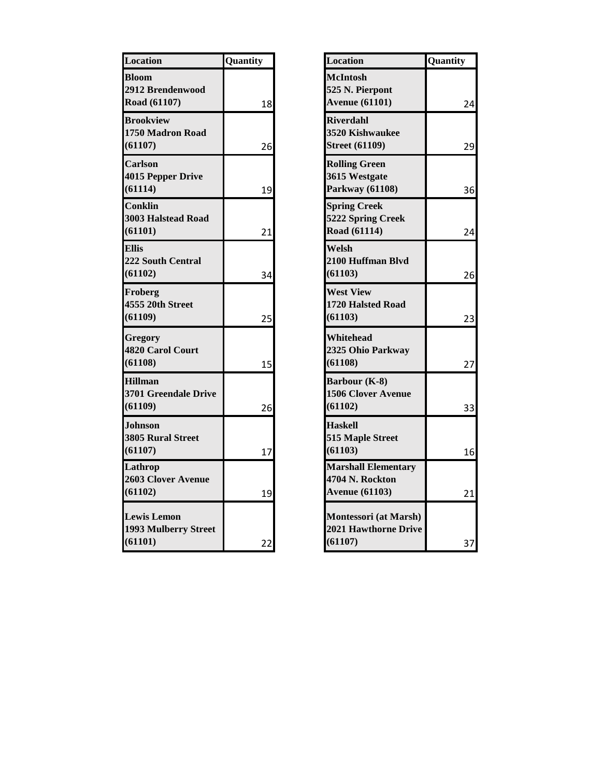| Location                                               | Quantity | <b>Location</b>                                                        | Quantity |
|--------------------------------------------------------|----------|------------------------------------------------------------------------|----------|
| <b>Bloom</b><br>2912 Brendenwood<br>Road (61107)       | 18       | <b>McIntosh</b><br>525 N. Pierpont<br><b>Avenue (61101)</b>            |          |
| <b>Brookview</b><br>1750 Madron Road<br>(61107)        | 26       | <b>Riverdahl</b><br><b>3520 Kishwaukee</b><br><b>Street (61109)</b>    |          |
| <b>Carlson</b><br><b>4015 Pepper Drive</b><br>(61114)  | 19       | <b>Rolling Green</b><br>3615 Westgate<br>Parkway (61108)               |          |
| <b>Conklin</b><br><b>3003 Halstead Road</b><br>(61101) | 21       | <b>Spring Creek</b><br>5222 Spring Creek<br>Road (61114)               |          |
| <b>Ellis</b><br><b>222 South Central</b><br>(61102)    | 34       | Welsh<br>2100 Huffman Blvd<br>(61103)                                  |          |
| Froberg<br>4555 20th Street<br>(61109)                 | 25       | <b>West View</b><br>1720 Halsted Road<br>(61103)                       |          |
| <b>Gregory</b><br>4820 Carol Court<br>(61108)          | 15       | Whitehead<br>2325 Ohio Parkway<br>(61108)                              |          |
| <b>Hillman</b><br>3701 Greendale Drive<br>(61109)      | 26       | Barbour (K-8)<br><b>1506 Clover Avenue</b><br>(61102)                  |          |
| <b>Johnson</b><br><b>3805 Rural Street</b><br>(61107)  | 17       | <b>Haskell</b><br>515 Maple Street<br>(61103)                          |          |
| Lathrop<br>2603 Clover Avenue<br>(61102)               | 19       | <b>Marshall Elementary</b><br>4704 N. Rockton<br><b>Avenue (61103)</b> |          |
| <b>Lewis Lemon</b><br>1993 Mulberry Street<br>(61101)  | 22       | Montessori (at Marsh)<br>2021 Hawthorne Drive<br>(61107)               |          |

| Location                                                               | Quantity |
|------------------------------------------------------------------------|----------|
| <b>McIntosh</b><br>525 N. Pierpont<br><b>Avenue (61101)</b>            | 24       |
| <b>Riverdahl</b><br>3520 Kishwaukee<br><b>Street (61109)</b>           | 29       |
| <b>Rolling Green</b><br>3615 Westgate<br>Parkway (61108)               | 36       |
| <b>Spring Creek</b><br>5222 Spring Creek<br>Road (61114)               | 24       |
| Welsh<br>2100 Huffman Blvd<br>(61103)                                  | 26       |
| <b>West View</b><br><b>1720 Halsted Road</b><br>(61103)                | 23       |
| Whitehead<br>2325 Ohio Parkway<br>(61108)                              | 27       |
| Barbour (K-8)<br><b>1506 Clover Avenue</b><br>(61102)                  | 33       |
| <b>Haskell</b><br>515 Maple Street<br>(61103)                          | 16       |
| <b>Marshall Elementary</b><br>4704 N. Rockton<br><b>Avenue (61103)</b> | 21       |
| Montessori (at Marsh)<br><b>2021 Hawthorne Drive</b><br>(61107)        | 37       |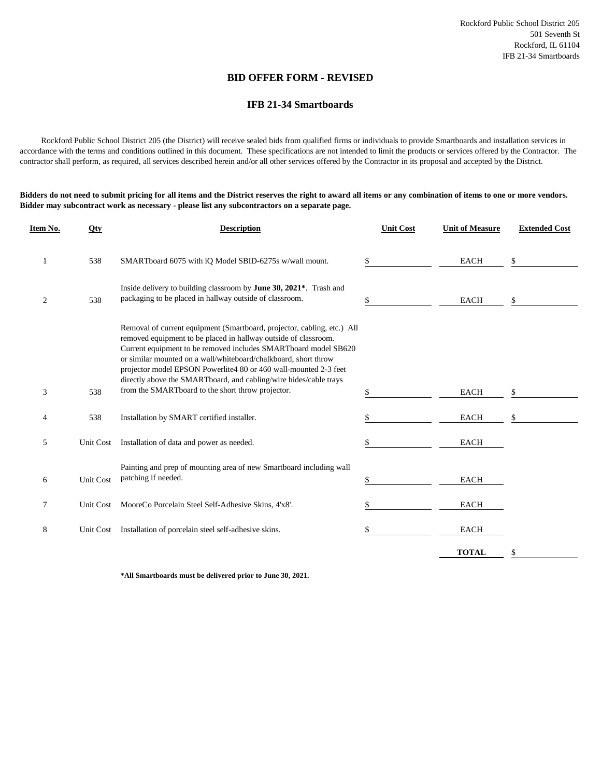### **BID OFFER FORM - REVISED**

### **IFB 21-34 Smartboards**

 Rockford Public School District 205 (the District) will receive sealed bids from qualified firms or individuals to provide Smartboards and installation services in accordance with the terms and conditions outlined in this document. These specifications are not intended to limit the products or services offered by the Contractor. The contractor shall perform, as required, all services described herein and/or all other services offered by the Contractor in its proposal and accepted by the District.

**Bidders do not need to submit pricing for all items and the District reserves the right to award all items or any combination of items to one or more vendors. Bidder may subcontract work as necessary - please list any subcontractors on a separate page.**

| Item No. | Qty              | <b>Description</b>                                                                                                                                                                                                                                                                                                                                                                                                                                                             | <b>Unit Cost</b> | <b>Unit of Measure</b> | <b>Extended Cost</b> |
|----------|------------------|--------------------------------------------------------------------------------------------------------------------------------------------------------------------------------------------------------------------------------------------------------------------------------------------------------------------------------------------------------------------------------------------------------------------------------------------------------------------------------|------------------|------------------------|----------------------|
| 1        | 538              | SMARTboard 6075 with iQ Model SBID-6275s w/wall mount.                                                                                                                                                                                                                                                                                                                                                                                                                         | S.               | <b>EACH</b>            | \$                   |
| 2        | 538              | Inside delivery to building classroom by June 30, 2021*. Trash and<br>packaging to be placed in hallway outside of classroom.                                                                                                                                                                                                                                                                                                                                                  | \$               | <b>EACH</b>            | \$                   |
| 3        | 538              | Removal of current equipment (Smartboard, projector, cabling, etc.) All<br>removed equipment to be placed in hallway outside of classroom.<br>Current equipment to be removed includes SMARTboard model SB620<br>or similar mounted on a wall/whiteboard/chalkboard, short throw<br>projector model EPSON Powerlite4 80 or 460 wall-mounted 2-3 feet<br>directly above the SMARTboard, and cabling/wire hides/cable trays<br>from the SMARTboard to the short throw projector. | \$               | <b>EACH</b>            | \$                   |
| 4        | 538              | Installation by SMART certified installer.                                                                                                                                                                                                                                                                                                                                                                                                                                     | \$               | <b>EACH</b>            | S                    |
| 5        | Unit Cost        | Installation of data and power as needed.                                                                                                                                                                                                                                                                                                                                                                                                                                      |                  | <b>EACH</b>            |                      |
| 6        | <b>Unit Cost</b> | Painting and prep of mounting area of new Smartboard including wall<br>patching if needed.                                                                                                                                                                                                                                                                                                                                                                                     | \$               | <b>EACH</b>            |                      |
| 7        |                  | Unit Cost MooreCo Porcelain Steel Self-Adhesive Skins, 4'x8'.                                                                                                                                                                                                                                                                                                                                                                                                                  |                  | <b>EACH</b>            |                      |
| 8        | Unit Cost        | Installation of porcelain steel self-adhesive skins.                                                                                                                                                                                                                                                                                                                                                                                                                           |                  | <b>EACH</b>            |                      |
|          |                  |                                                                                                                                                                                                                                                                                                                                                                                                                                                                                |                  | <b>TOTAL</b>           | \$                   |

**\*All Smartboards must be delivered prior to June 30, 2021.**